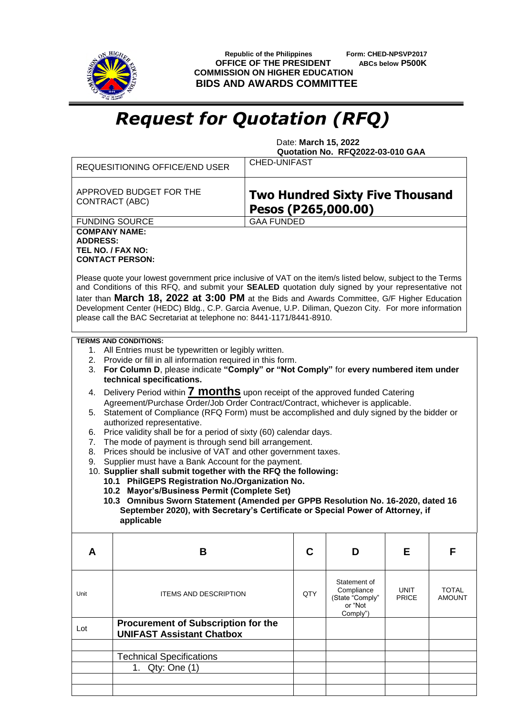

 **Republic of the Philippines Form: CHED-NPSVP2017 OFFICE OF THE PRESIDENT ABCs below P500K COMMISSION ON HIGHER EDUCATION BIDS AND AWARDS COMMITTEE**

## *Request for Quotation (RFQ)*

 Date: **March 15, 2022 Quotation No. RFQ2022-03-010 GAA**

|                                                                                                                                                                                                                                                                                                                                                                                                                                                                                                                                                                                                                                                                                                                                                                                                                                                                                                                                                                                                                                                                                                                                                                                                                                | 1. Qty: One (1)                                                                |                                                               |     |                                                                      |                      |                               |  |
|--------------------------------------------------------------------------------------------------------------------------------------------------------------------------------------------------------------------------------------------------------------------------------------------------------------------------------------------------------------------------------------------------------------------------------------------------------------------------------------------------------------------------------------------------------------------------------------------------------------------------------------------------------------------------------------------------------------------------------------------------------------------------------------------------------------------------------------------------------------------------------------------------------------------------------------------------------------------------------------------------------------------------------------------------------------------------------------------------------------------------------------------------------------------------------------------------------------------------------|--------------------------------------------------------------------------------|---------------------------------------------------------------|-----|----------------------------------------------------------------------|----------------------|-------------------------------|--|
|                                                                                                                                                                                                                                                                                                                                                                                                                                                                                                                                                                                                                                                                                                                                                                                                                                                                                                                                                                                                                                                                                                                                                                                                                                | <b>Technical Specifications</b>                                                |                                                               |     |                                                                      |                      |                               |  |
|                                                                                                                                                                                                                                                                                                                                                                                                                                                                                                                                                                                                                                                                                                                                                                                                                                                                                                                                                                                                                                                                                                                                                                                                                                |                                                                                |                                                               |     |                                                                      |                      |                               |  |
| Lot                                                                                                                                                                                                                                                                                                                                                                                                                                                                                                                                                                                                                                                                                                                                                                                                                                                                                                                                                                                                                                                                                                                                                                                                                            | <b>Procurement of Subscription for the</b><br><b>UNIFAST Assistant Chatbox</b> |                                                               |     |                                                                      |                      |                               |  |
| Unit                                                                                                                                                                                                                                                                                                                                                                                                                                                                                                                                                                                                                                                                                                                                                                                                                                                                                                                                                                                                                                                                                                                                                                                                                           | <b>ITEMS AND DESCRIPTION</b>                                                   |                                                               | QTY | Statement of<br>Compliance<br>(State "Comply"<br>or "Not<br>Comply") | UNIT<br><b>PRICE</b> | <b>TOTAL</b><br><b>AMOUNT</b> |  |
| A                                                                                                                                                                                                                                                                                                                                                                                                                                                                                                                                                                                                                                                                                                                                                                                                                                                                                                                                                                                                                                                                                                                                                                                                                              | B                                                                              |                                                               | C   | D                                                                    | Е                    | F                             |  |
| <b>TERMS AND CONDITIONS:</b><br>1. All Entries must be typewritten or legibly written.<br>2. Provide or fill in all information required in this form.<br>For Column D, please indicate "Comply" or "Not Comply" for every numbered item under<br>3.<br>technical specifications.<br>4. Delivery Period within <b>7 months</b> upon receipt of the approved funded Catering<br>Agreement/Purchase Order/Job Order Contract/Contract, whichever is applicable.<br>5. Statement of Compliance (RFQ Form) must be accomplished and duly signed by the bidder or<br>authorized representative.<br>Price validity shall be for a period of sixty (60) calendar days.<br>6.<br>The mode of payment is through send bill arrangement.<br>7.<br>Prices should be inclusive of VAT and other government taxes.<br>8.<br>Supplier must have a Bank Account for the payment.<br>9.<br>10. Supplier shall submit together with the RFQ the following:<br>10.1 PhilGEPS Registration No./Organization No.<br>10.2 Mayor's/Business Permit (Complete Set)<br>10.3 Omnibus Sworn Statement (Amended per GPPB Resolution No. 16-2020, dated 16<br>September 2020), with Secretary's Certificate or Special Power of Attorney, if<br>applicable |                                                                                |                                                               |     |                                                                      |                      |                               |  |
| Please quote your lowest government price inclusive of VAT on the item/s listed below, subject to the Terms<br>and Conditions of this RFQ, and submit your SEALED quotation duly signed by your representative not<br>later than March 18, 2022 at 3:00 PM at the Bids and Awards Committee, G/F Higher Education<br>Development Center (HEDC) Bldg., C.P. Garcia Avenue, U.P. Diliman, Quezon City. For more information<br>please call the BAC Secretariat at telephone no: 8441-1171/8441-8910.                                                                                                                                                                                                                                                                                                                                                                                                                                                                                                                                                                                                                                                                                                                             |                                                                                |                                                               |     |                                                                      |                      |                               |  |
| <b>COMPANY NAME:</b><br><b>ADDRESS:</b>                                                                                                                                                                                                                                                                                                                                                                                                                                                                                                                                                                                                                                                                                                                                                                                                                                                                                                                                                                                                                                                                                                                                                                                        | TEL NO. / FAX NO:<br><b>CONTACT PERSON:</b>                                    |                                                               |     |                                                                      |                      |                               |  |
|                                                                                                                                                                                                                                                                                                                                                                                                                                                                                                                                                                                                                                                                                                                                                                                                                                                                                                                                                                                                                                                                                                                                                                                                                                | <b>FUNDING SOURCE</b>                                                          | <b>GAA FUNDED</b>                                             |     |                                                                      |                      |                               |  |
| APPROVED BUDGET FOR THE<br><b>CONTRACT (ABC)</b>                                                                                                                                                                                                                                                                                                                                                                                                                                                                                                                                                                                                                                                                                                                                                                                                                                                                                                                                                                                                                                                                                                                                                                               |                                                                                | <b>Two Hundred Sixty Five Thousand</b><br>Pesos (P265,000.00) |     |                                                                      |                      |                               |  |
|                                                                                                                                                                                                                                                                                                                                                                                                                                                                                                                                                                                                                                                                                                                                                                                                                                                                                                                                                                                                                                                                                                                                                                                                                                | REQUESITIONING OFFICE/END USER                                                 | <b>CHED-UNIFAST</b>                                           |     |                                                                      |                      |                               |  |